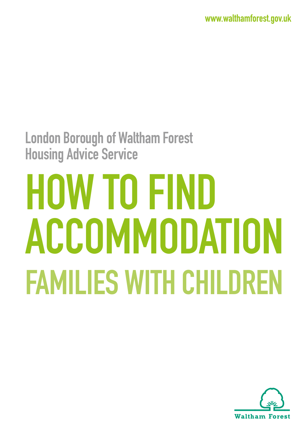**[www.walthamforest.gov.uk](http://www.walthamforest.gov.uk)**

# **London Borough of Waltham Forest Housing Advice Service**

# **HOW TO FIND ACCOMMODATION FAMILIES WITH CHILDREN**

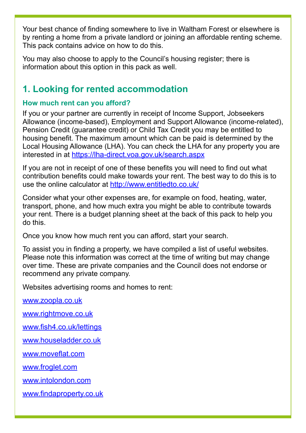Your best chance of finding somewhere to live in Waltham Forest or elsewhere is by renting a home from a private landlord or joining an affordable renting scheme. This pack contains advice on how to do this.

You may also choose to apply to the Council's housing register; there is information about this option in this pack as well.

# **1. Looking for rented accommodation**

#### **How much rent can you afford?**

If you or your partner are currently in receipt of Income Support, Jobseekers Allowance (income-based), Employment and Support Allowance (income-related), Pension Credit (guarantee credit) or Child Tax Credit you may be entitled to housing benefit. The maximum amount which can be paid is determined by the Local Housing Allowance (LHA). You can check the LHA for any property you are interested in at <https://lha-direct.voa.gov.uk/search.aspx>

If you are not in receipt of one of these benefits you will need to find out what contribution benefits could make towards your rent. The best way to do this is to use the online calculator at<http://www.entitledto.co.uk/>

Consider what your other expenses are, for example on food, heating, water, transport, phone, and how much extra you might be able to contribute towards your rent. There is a budget planning sheet at the back of this pack to help you do this.

Once you know how much rent you can afford, start your search.

To assist you in finding a property, we have compiled a list of useful websites. Please note this information was correct at the time of writing but may change over time. These are private companies and the Council does not endorse or recommend any private company.

Websites advertising rooms and homes to rent:

[www.zoopla.co.uk](http://www.zoopla.co.uk)

[www.rightmove.co.uk](http://www.rightmove.co.uk)

[www.fish4.co.uk/lettings](http://www.fish4.co.uk/lettings)

[www.houseladder.co.uk](http://www.houseladder.co.uk)

[www.moveflat.com](http://www.moveflat.com)

[www.froglet.com](http://www.froglet.com)

[www.intolondon.com](http://www.intolondon.com)

[www.findaproperty.co.uk](http://www.findaproperty.co.uk)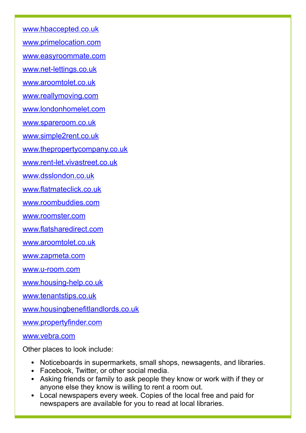[www.hbaccepted.co.uk](http://www.hbaccepted.co.uk)

[www.primelocation.com](http://www.primelocation.com)

[www.easyroommate.com](http://www.easyroommate.com)

[www.net-lettings.co.uk](http://www.net-lettings.co.uk)

[www.aroomtolet.co.uk](http://www.aroomtolet.co.uk)

[www.reallymoving.com](http://www.reallymoving.com)

[www.londonhomelet.com](http://www.londonhomelet.com)

[www.spareroom.co.uk](http://www.spareroom.co.uk)

[www.simple2rent.co.uk](http://www.simple2rent.co.uk)

[www.thepropertycompany.co.uk](http://www.thepropertycompany.co.uk)

[www.rent-let.vivastreet.co.uk](http://www.rent-let.vivastreet.co.uk)

[www.dsslondon.co.uk](http://www.dsslondon.co.uk)

[www.flatmateclick.co.uk](http://www.flatmateclick.co.uk)

[www.roombuddies.com](http://www.roombuddies.com)

[www.roomster.com](http://www.roomster.com)

[www.flatsharedirect.com](http://www.flatsharedirect.com)

[www.aroomtolet.co.uk](http://www.aroomtolet.co.uk)

[www.zapmeta.com](http://www.zapmeta.com)

[www.u-room.com](http://www.u-room.com)

[www.housing-help.co.uk](http://www.housing-help.co.uk)

[www.tenantstips.co.uk](http://www.tenantstips.co.uk)

[www.housingbenefitlandlords.co.uk](http://www.housingbenefitlandlords.co.uk)

[www.propertyfinder.com](http://www.propertyfinder.com)

[www.vebra.com](http://www.vebra.com)

Other places to look include:

- **•** Noticeboards in supermarkets, small shops, newsagents, and libraries.
- **•** Facebook, Twitter, or other social media.
- **•** Asking friends or family to ask people they know or work with if they or anyone else they know is willing to rent a room out.
- **•** Local newspapers every week. Copies of the local free and paid for newspapers are available for you to read at local libraries.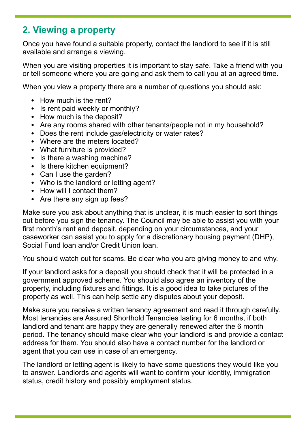# **2. Viewing a property**

Once you have found a suitable property, contact the landlord to see if it is still available and arrange a viewing.

When you are visiting properties it is important to stay safe. Take a friend with you or tell someone where you are going and ask them to call you at an agreed time.

When you view a property there are a number of questions you should ask:

- **•** How much is the rent?
- **•** Is rent paid weekly or monthly?
- **•** How much is the deposit?
- **•** Are any rooms shared with other tenants/people not in my household?
- **•** Does the rent include gas/electricity or water rates?
- **•** Where are the meters located?
- **•** What furniture is provided?
- Is there a washing machine?
- **•** Is there kitchen equipment?
- **•** Can I use the garden?
- **•** Who is the landlord or letting agent?
- **•** How will I contact them?
- **•** Are there any sign up fees?

Make sure you ask about anything that is unclear, it is much easier to sort things out before you sign the tenancy. The Council may be able to assist you with your first month's rent and deposit, depending on your circumstances, and your caseworker can assist you to apply for a discretionary housing payment (DHP), Social Fund loan and/or Credit Union loan.

You should watch out for scams. Be clear who you are giving money to and why.

If your landlord asks for a deposit you should check that it will be protected in a government approved scheme. You should also agree an inventory of the property, including fixtures and fittings. It is a good idea to take pictures of the property as well. This can help settle any disputes about your deposit.

Make sure you receive a written tenancy agreement and read it through carefully. Most tenancies are Assured Shorthold Tenancies lasting for 6 months, if both landlord and tenant are happy they are generally renewed after the 6 month period. The tenancy should make clear who your landlord is and provide a contact address for them. You should also have a contact number for the landlord or agent that you can use in case of an emergency.

The landlord or letting agent is likely to have some questions they would like you to answer. Landlords and agents will want to confirm your identity, immigration status, credit history and possibly employment status.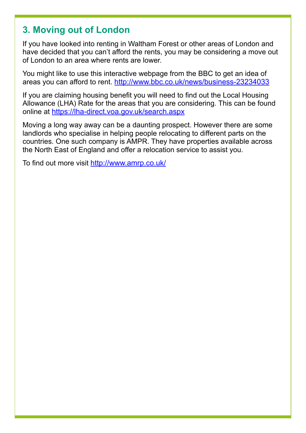## **3. Moving out of London**

If you have looked into renting in Waltham Forest or other areas of London and have decided that you can't afford the rents, you may be considering a move out of London to an area where rents are lower.

You might like to use this interactive webpage from the BBC to get an idea of areas you can afford to rent. <http://www.bbc.co.uk/news/business-23234033>

If you are claiming housing benefit you will need to find out the Local Housing Allowance (LHA) Rate for the areas that you are considering. This can be found online at <https://lha-direct.voa.gov.uk/search.aspx>

Moving a long way away can be a daunting prospect. However there are some landlords who specialise in helping people relocating to different parts on the countries. One such company is AMPR. They have properties available across the North East of England and offer a relocation service to assist you.

To find out more visit<http://www.amrp.co.uk/>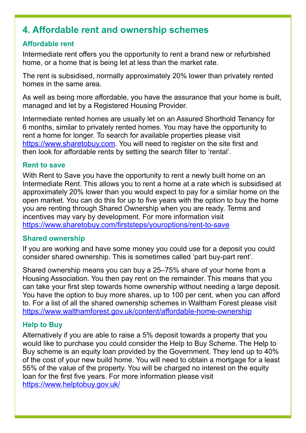# **4. Affordable rent and ownership schemes**

#### **Affordable rent**

Intermediate rent offers you the opportunity to rent a brand new or refurbished home, or a home that is being let at less than the market rate.

The rent is subsidised, normally approximately 20% lower than privately rented homes in the same area.

As well as being more affordable, you have the assurance that your home is built, managed and let by a Registered Housing Provider.

Intermediate rented homes are usually let on an Assured Shorthold Tenancy for 6 months, similar to privately rented homes. You may have the opportunity to rent a home for longer. To search for available properties please visit <https://www.sharetobuy.com>. You will need to register on the site first and then look for affordable rents by setting the search filter to 'rental'.

#### **Rent to save**

With Rent to Save you have the opportunity to rent a newly built home on an Intermediate Rent. This allows you to rent a home at a rate which is subsidised at approximately 20% lower than you would expect to pay for a similar home on the open market. You can do this for up to five years with the option to buy the home you are renting through Shared Ownership when you are ready. Terms and incentives may vary by development. For more information visit <https://www.sharetobuy.com/firststeps/youroptions/rent-to-save>

#### **Shared ownership**

If you are working and have some money you could use for a deposit you could consider shared ownership. This is sometimes called 'part buy-part rent'.

Shared ownership means you can buy a 25–75% share of your home from a Housing Association. You then pay rent on the remainder. This means that you can take your first step towards home ownership without needing a large deposit. You have the option to buy more shares, up to 100 per cent, when you can afford to. For a list of all the shared ownership schemes in Waltham Forest please visit <https://www.walthamforest.gov.uk/content/affordable-home-ownership>

#### **Help to Buy**

Alternatively if you are able to raise a 5% deposit towards a property that you would like to purchase you could consider the Help to Buy Scheme. The Help to Buy scheme is an equity loan provided by the Government. They lend up to 40% of the cost of your new build home. You will need to obtain a mortgage for a least 55% of the value of the property. You will be charged no interest on the equity loan for the first five years. For more information please visit [https://www.helptobuy.gov.uk/](https://www.helptobuy.gov.uk)